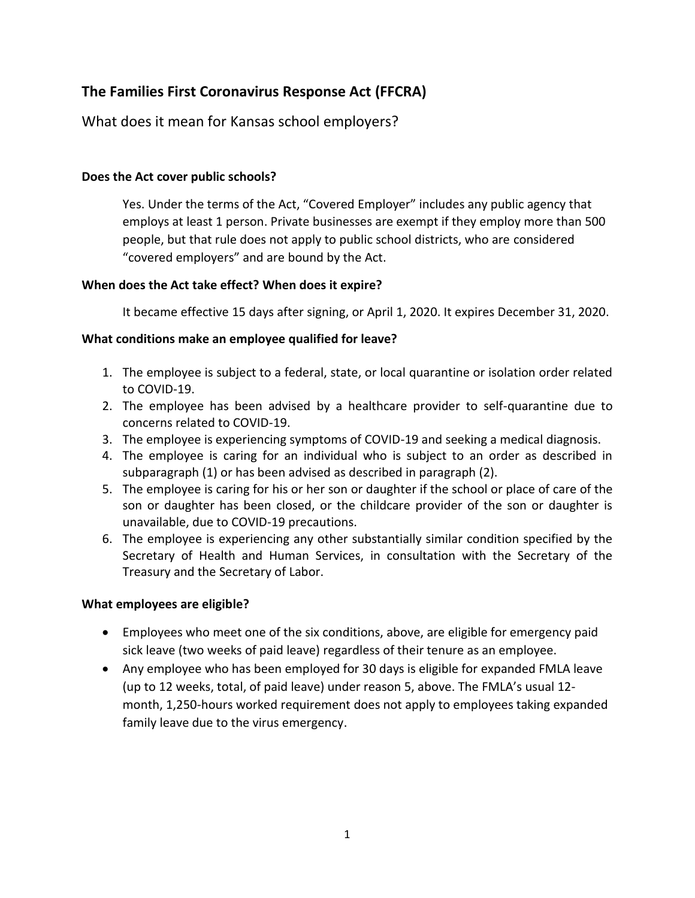# **The Families First Coronavirus Response Act (FFCRA)**

What does it mean for Kansas school employers?

### **Does the Act cover public schools?**

Yes. Under the terms of the Act, "Covered Employer" includes any public agency that employs at least 1 person. Private businesses are exempt if they employ more than 500 people, but that rule does not apply to public school districts, who are considered "covered employers" and are bound by the Act.

#### **When does the Act take effect? When does it expire?**

It became effective 15 days after signing, or April 1, 2020. It expires December 31, 2020.

#### **What conditions make an employee qualified for leave?**

- 1. The employee is subject to a federal, state, or local quarantine or isolation order related to COVID-19.
- 2. The employee has been advised by a healthcare provider to self-quarantine due to concerns related to COVID-19.
- 3. The employee is experiencing symptoms of COVID-19 and seeking a medical diagnosis.
- 4. The employee is caring for an individual who is subject to an order as described in subparagraph (1) or has been advised as described in paragraph (2).
- 5. The employee is caring for his or her son or daughter if the school or place of care of the son or daughter has been closed, or the childcare provider of the son or daughter is unavailable, due to COVID-19 precautions.
- 6. The employee is experiencing any other substantially similar condition specified by the Secretary of Health and Human Services, in consultation with the Secretary of the Treasury and the Secretary of Labor.

### **What employees are eligible?**

- Employees who meet one of the six conditions, above, are eligible for emergency paid sick leave (two weeks of paid leave) regardless of their tenure as an employee.
- Any employee who has been employed for 30 days is eligible for expanded FMLA leave (up to 12 weeks, total, of paid leave) under reason 5, above. The FMLA's usual 12 month, 1,250-hours worked requirement does not apply to employees taking expanded family leave due to the virus emergency.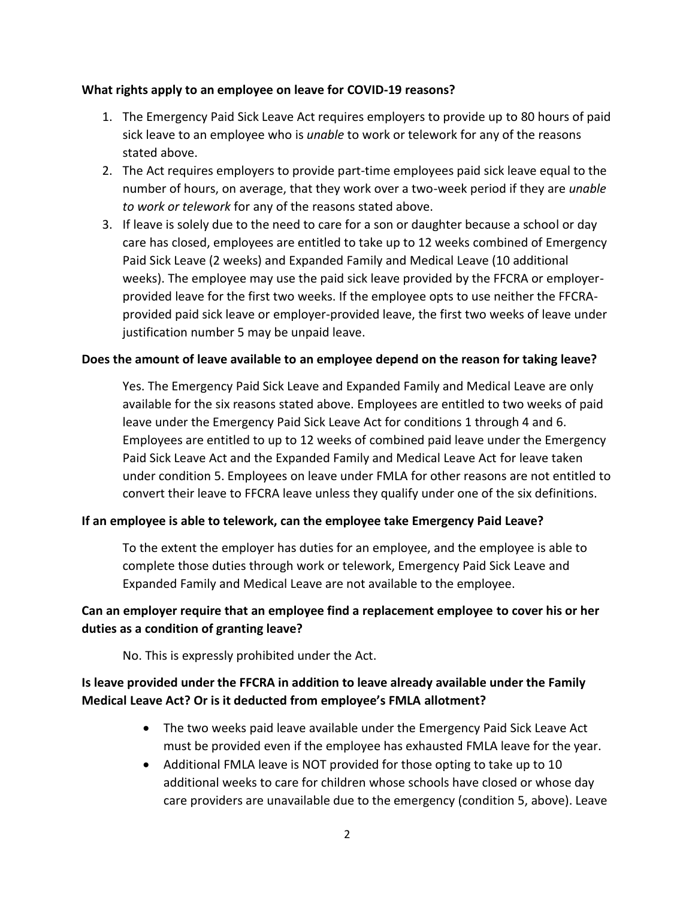#### **What rights apply to an employee on leave for COVID-19 reasons?**

- 1. The Emergency Paid Sick Leave Act requires employers to provide up to 80 hours of paid sick leave to an employee who is *unable* to work or telework for any of the reasons stated above.
- 2. The Act requires employers to provide part-time employees paid sick leave equal to the number of hours, on average, that they work over a two-week period if they are *unable to work or telework* for any of the reasons stated above.
- 3. If leave is solely due to the need to care for a son or daughter because a school or day care has closed, employees are entitled to take up to 12 weeks combined of Emergency Paid Sick Leave (2 weeks) and Expanded Family and Medical Leave (10 additional weeks). The employee may use the paid sick leave provided by the FFCRA or employerprovided leave for the first two weeks. If the employee opts to use neither the FFCRAprovided paid sick leave or employer-provided leave, the first two weeks of leave under justification number 5 may be unpaid leave.

#### **Does the amount of leave available to an employee depend on the reason for taking leave?**

Yes. The Emergency Paid Sick Leave and Expanded Family and Medical Leave are only available for the six reasons stated above. Employees are entitled to two weeks of paid leave under the Emergency Paid Sick Leave Act for conditions 1 through 4 and 6. Employees are entitled to up to 12 weeks of combined paid leave under the Emergency Paid Sick Leave Act and the Expanded Family and Medical Leave Act for leave taken under condition 5. Employees on leave under FMLA for other reasons are not entitled to convert their leave to FFCRA leave unless they qualify under one of the six definitions.

#### **If an employee is able to telework, can the employee take Emergency Paid Leave?**

To the extent the employer has duties for an employee, and the employee is able to complete those duties through work or telework, Emergency Paid Sick Leave and Expanded Family and Medical Leave are not available to the employee.

# **Can an employer require that an employee find a replacement employee to cover his or her duties as a condition of granting leave?**

No. This is expressly prohibited under the Act.

# **Is leave provided under the FFCRA in addition to leave already available under the Family Medical Leave Act? Or is it deducted from employee's FMLA allotment?**

- The two weeks paid leave available under the Emergency Paid Sick Leave Act must be provided even if the employee has exhausted FMLA leave for the year.
- Additional FMLA leave is NOT provided for those opting to take up to 10 additional weeks to care for children whose schools have closed or whose day care providers are unavailable due to the emergency (condition 5, above). Leave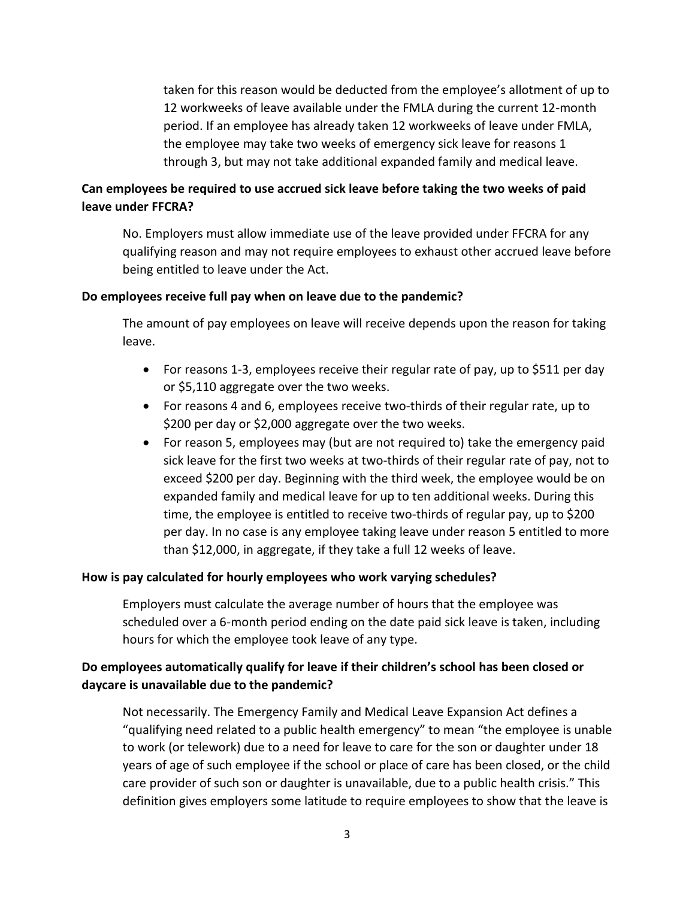taken for this reason would be deducted from the employee's allotment of up to 12 workweeks of leave available under the FMLA during the current 12-month period. If an employee has already taken 12 workweeks of leave under FMLA, the employee may take two weeks of emergency sick leave for reasons 1 through 3, but may not take additional expanded family and medical leave.

# **Can employees be required to use accrued sick leave before taking the two weeks of paid leave under FFCRA?**

No. Employers must allow immediate use of the leave provided under FFCRA for any qualifying reason and may not require employees to exhaust other accrued leave before being entitled to leave under the Act.

#### **Do employees receive full pay when on leave due to the pandemic?**

The amount of pay employees on leave will receive depends upon the reason for taking leave.

- For reasons 1-3, employees receive their regular rate of pay, up to \$511 per day or \$5,110 aggregate over the two weeks.
- For reasons 4 and 6, employees receive two-thirds of their regular rate, up to \$200 per day or \$2,000 aggregate over the two weeks.
- For reason 5, employees may (but are not required to) take the emergency paid sick leave for the first two weeks at two-thirds of their regular rate of pay, not to exceed \$200 per day. Beginning with the third week, the employee would be on expanded family and medical leave for up to ten additional weeks. During this time, the employee is entitled to receive two-thirds of regular pay, up to \$200 per day. In no case is any employee taking leave under reason 5 entitled to more than \$12,000, in aggregate, if they take a full 12 weeks of leave.

#### **How is pay calculated for hourly employees who work varying schedules?**

Employers must calculate the average number of hours that the employee was scheduled over a 6-month period ending on the date paid sick leave is taken, including hours for which the employee took leave of any type.

### **Do employees automatically qualify for leave if their children's school has been closed or daycare is unavailable due to the pandemic?**

Not necessarily. The Emergency Family and Medical Leave Expansion Act defines a "qualifying need related to a public health emergency" to mean "the employee is unable to work (or telework) due to a need for leave to care for the son or daughter under 18 years of age of such employee if the school or place of care has been closed, or the child care provider of such son or daughter is unavailable, due to a public health crisis." This definition gives employers some latitude to require employees to show that the leave is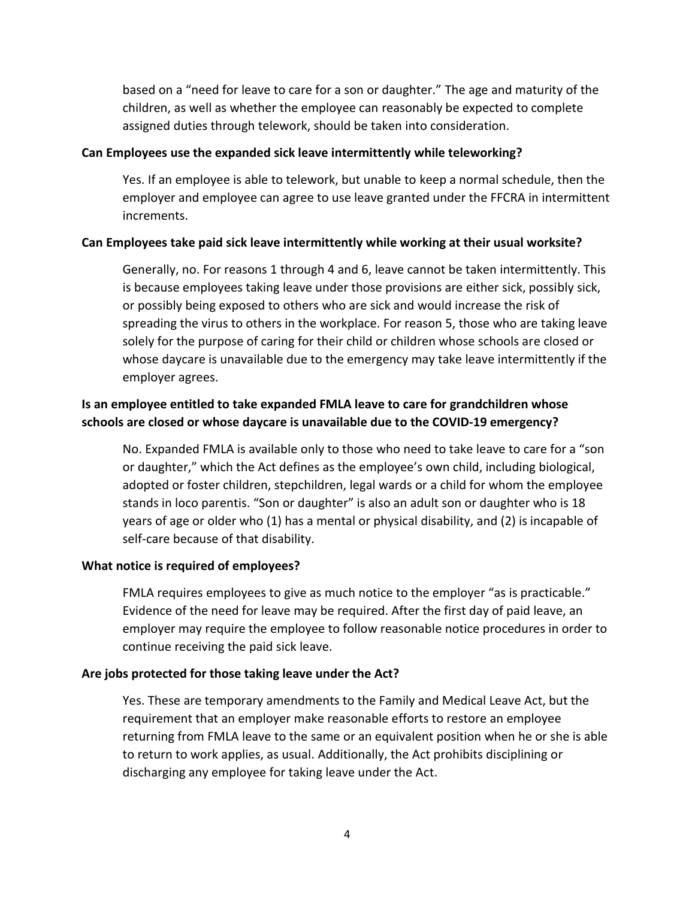based on a "need for leave to care for a son or daughter." The age and maturity of the children, as well as whether the employee can reasonably be expected to complete assigned duties through telework, should be taken into consideration.

#### **Can Employees use the expanded sick leave intermittently while teleworking?**

Yes. If an employee is able to telework, but unable to keep a normal schedule, then the employer and employee can agree to use leave granted under the FFCRA in intermittent increments.

#### **Can Employees take paid sick leave intermittently while working at their usual worksite?**

Generally, no. For reasons 1 through 4 and 6, leave cannot be taken intermittently. This is because employees taking leave under those provisions are either sick, possibly sick, or possibly being exposed to others who are sick and would increase the risk of spreading the virus to others in the workplace. For reason 5, those who are taking leave solely for the purpose of caring for their child or children whose schools are closed or whose daycare is unavailable due to the emergency may take leave intermittently if the employer agrees.

### **Is an employee entitled to take expanded FMLA leave to care for grandchildren whose schools are closed or whose daycare is unavailable due to the COVID-19 emergency?**

No. Expanded FMLA is available only to those who need to take leave to care for a "son or daughter," which the Act defines as the employee's own child, including biological, adopted or foster children, stepchildren, legal wards or a child for whom the employee stands in loco parentis. "Son or daughter" is also an adult son or daughter who is 18 years of age or older who (1) has a mental or physical disability, and (2) is incapable of self-care because of that disability.

#### **What notice is required of employees?**

FMLA requires employees to give as much notice to the employer "as is practicable." Evidence of the need for leave may be required. After the first day of paid leave, an employer may require the employee to follow reasonable notice procedures in order to continue receiving the paid sick leave.

#### **Are jobs protected for those taking leave under the Act?**

Yes. These are temporary amendments to the Family and Medical Leave Act, but the requirement that an employer make reasonable efforts to restore an employee returning from FMLA leave to the same or an equivalent position when he or she is able to return to work applies, as usual. Additionally, the Act prohibits disciplining or discharging any employee for taking leave under the Act.